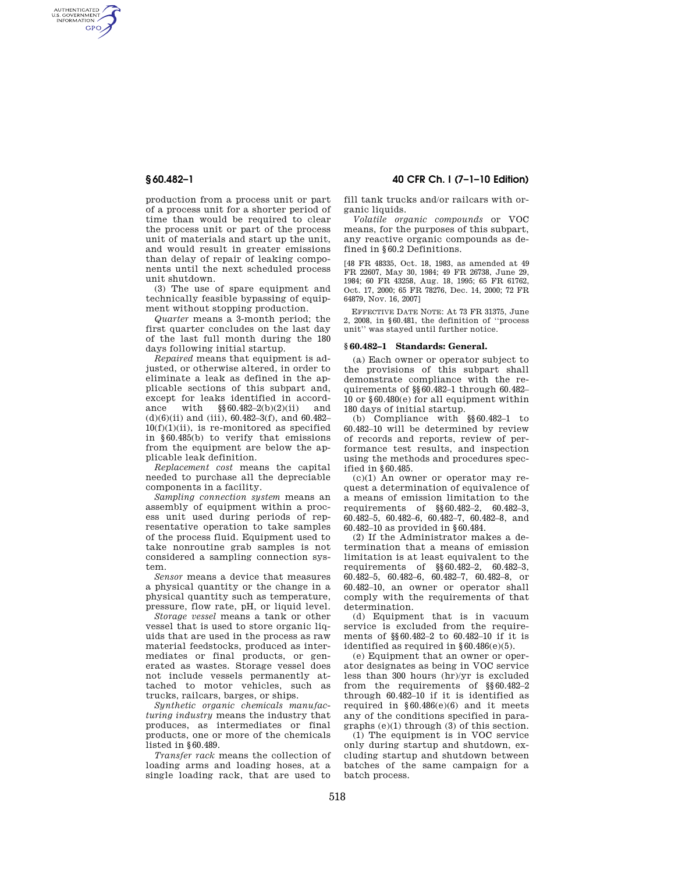AUTHENTICATED<br>U.S. GOVERNMENT<br>INFORMATION **GPO** 

> production from a process unit or part of a process unit for a shorter period of time than would be required to clear the process unit or part of the process unit of materials and start up the unit, and would result in greater emissions than delay of repair of leaking components until the next scheduled process unit shutdown.

> (3) The use of spare equipment and technically feasible bypassing of equipment without stopping production.

> *Quarter* means a 3-month period; the first quarter concludes on the last day of the last full month during the 180 days following initial startup.

*Repaired* means that equipment is adjusted, or otherwise altered, in order to eliminate a leak as defined in the applicable sections of this subpart and, except for leaks identified in accord-<br>ance with  $\S 60.482 - 2(b)(2)(ii)$  and  $\S\$  60.482–2(b)(2)(ii) (d)(6)(ii) and (iii), 60.482–3(f), and 60.482–  $10(f)(1)(ii)$ , is re-monitored as specified in §60.485(b) to verify that emissions from the equipment are below the applicable leak definition.

*Replacement cost* means the capital needed to purchase all the depreciable components in a facility.

*Sampling connection system* means an assembly of equipment within a process unit used during periods of representative operation to take samples of the process fluid. Equipment used to take nonroutine grab samples is not considered a sampling connection system.

*Sensor* means a device that measures a physical quantity or the change in a physical quantity such as temperature, pressure, flow rate, pH, or liquid level.

*Storage vessel* means a tank or other vessel that is used to store organic liquids that are used in the process as raw material feedstocks, produced as intermediates or final products, or generated as wastes. Storage vessel does not include vessels permanently attached to motor vehicles, such as trucks, railcars, barges, or ships.

*Synthetic organic chemicals manufacturing industry* means the industry that produces, as intermediates or final products, one or more of the chemicals listed in §60.489.

*Transfer rack* means the collection of loading arms and loading hoses, at a single loading rack, that are used to

**§ 60.482–1 40 CFR Ch. I (7–1–10 Edition)** 

fill tank trucks and/or railcars with organic liquids.

*Volatile organic compounds* or VOC means, for the purposes of this subpart, any reactive organic compounds as defined in §60.2 Definitions.

[48 FR 48335, Oct. 18, 1983, as amended at 49 FR 22607, May 30, 1984; 49 FR 26738, June 29, 1984; 60 FR 43258, Aug. 18, 1995; 65 FR 61762, Oct. 17, 2000; 65 FR 78276, Dec. 14, 2000; 72 FR 64879, Nov. 16, 2007]

EFFECTIVE DATE NOTE: At 73 FR 31375, June 2, 2008, in §60.481, the definition of ''process unit'' was stayed until further notice.

## **§ 60.482–1 Standards: General.**

(a) Each owner or operator subject to the provisions of this subpart shall demonstrate compliance with the requirements of §§60.482–1 through 60.482– 10 or §60.480(e) for all equipment within 180 days of initial startup.

(b) Compliance with §§60.482–1 to 60.482–10 will be determined by review of records and reports, review of performance test results, and inspection using the methods and procedures specified in §60.485.

 $(c)(1)$  An owner or operator may request a determination of equivalence of a means of emission limitation to the requirements of §§60.482–2, 60.482–3, 60.482–5, 60.482–6, 60.482–7, 60.482–8, and 60.482–10 as provided in §60.484.

(2) If the Administrator makes a determination that a means of emission limitation is at least equivalent to the requirements of §§60.482–2, 60.482–3, 60.482–5, 60.482–6, 60.482–7, 60.482–8, or 60.482–10, an owner or operator shall comply with the requirements of that determination.

(d) Equipment that is in vacuum service is excluded from the requirements of §§60.482–2 to 60.482–10 if it is identified as required in §60.486(e)(5).

(e) Equipment that an owner or operator designates as being in VOC service less than 300 hours (hr)/yr is excluded from the requirements of §§60.482–2 through 60.482–10 if it is identified as required in  $§60.486(e)(6)$  and it meets any of the conditions specified in paragraphs  $(e)(1)$  through  $(3)$  of this section.

(1) The equipment is in VOC service only during startup and shutdown, excluding startup and shutdown between batches of the same campaign for a batch process.